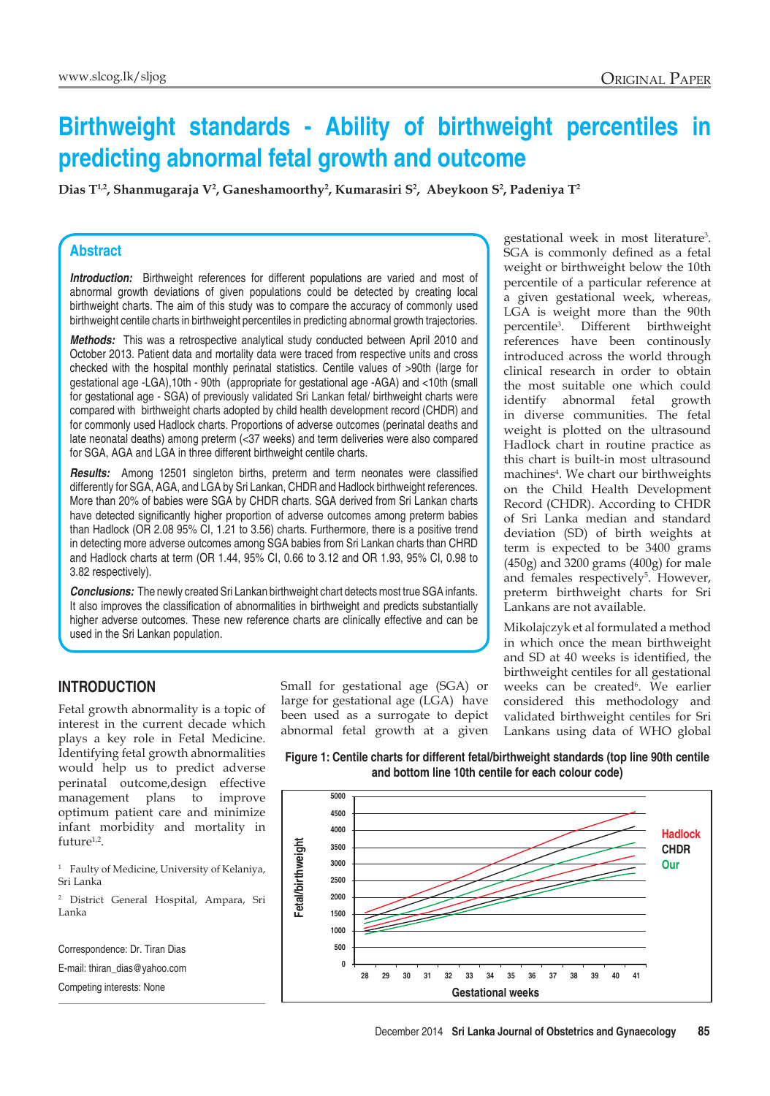# **Birthweight standards - Ability of birthweight percentiles in predicting abnormal fetal growth and outcome**

**Dias T1,2, Shanmugaraja V2 , Ganeshamoorthy2 , Kumarasiri S2 , Abeykoon S2 , Padeniya T2**

#### **Abstract**

**Introduction:** Birthweight references for different populations are varied and most of abnormal growth deviations of given populations could be detected by creating local birthweight charts. The aim of this study was to compare the accuracy of commonly used birthweight centile charts in birthweight percentiles in predicting abnormal growth trajectories.

*Methods:* This was a retrospective analytical study conducted between April 2010 and October 2013. Patient data and mortality data were traced from respective units and cross checked with the hospital monthly perinatal statistics. Centile values of >90th (large for gestational age -LGA),10th - 90th (appropriate for gestational age -AGA) and <10th (small for gestational age - SGA) of previously validated Sri Lankan fetal/ birthweight charts were compared with birthweight charts adopted by child health development record (CHDR) and for commonly used Hadlock charts. Proportions of adverse outcomes (perinatal deaths and late neonatal deaths) among preterm (<37 weeks) and term deliveries were also compared for SGA, AGA and LGA in three different birthweight centile charts.

*Results:* Among 12501 singleton births, preterm and term neonates were classified differently for SGA, AGA, and LGA by Sri Lankan, CHDR and Hadlock birthweight references. More than 20% of babies were SGA by CHDR charts. SGA derived from Sri Lankan charts have detected significantly higher proportion of adverse outcomes among preterm babies than Hadlock (OR 2.08 95% CI, 1.21 to 3.56) charts. Furthermore, there is a positive trend in detecting more adverse outcomes among SGA babies from Sri Lankan charts than CHRD and Hadlock charts at term (OR 1.44, 95% CI, 0.66 to 3.12 and OR 1.93, 95% CI, 0.98 to 3.82 respectively).

*Conclusions:* The newly created Sri Lankan birthweight chart detects most true SGA infants. It also improves the classification of abnormalities in birthweight and predicts substantially higher adverse outcomes. These new reference charts are clinically effective and can be used in the Sri Lankan population.

## **Introduction**

Fetal growth abnormality is a topic of interest in the current decade which plays a key role in Fetal Medicine. Identifying fetal growth abnormalities would help us to predict adverse perinatal outcome,design effective management plans to improve optimum patient care and minimize infant morbidity and mortality in future $1,2$ .

<sup>1</sup> Faulty of Medicine, University of Kelaniya, Sri Lanka

<sup>2</sup> District General Hospital, Ampara, Sri Lanka

Correspondence: Dr. Tiran Dias E-mail: thiran\_dias@yahoo.com Competing interests: None

Small for gestational age (SGA) or large for gestational age (LGA) have been used as a surrogate to depict abnormal fetal growth at a given

gestational week in most literature3 . SGA is commonly defined as a fetal weight or birthweight below the 10th percentile of a particular reference at a given gestational week, whereas, LGA is weight more than the 90th percentile3 . Different birthweight references have been continously introduced across the world through clinical research in order to obtain the most suitable one which could identify abnormal fetal growth in diverse communities. The fetal weight is plotted on the ultrasound Hadlock chart in routine practice as this chart is built-in most ultrasound machines<sup>4</sup>. We chart our birthweights on the Child Health Development Record (CHDR). According to CHDR of Sri Lanka median and standard deviation (SD) of birth weights at term is expected to be 3400 grams (450g) and 3200 grams (400g) for male and females respectively<sup>5</sup>. However, preterm birthweight charts for Sri Lankans are not available.

Mikolajczyk et al formulated a method in which once the mean birthweight and SD at 40 weeks is identified, the birthweight centiles for all gestational weeks can be created<sup>6</sup>. We earlier considered this methodology and validated birthweight centiles for Sri Lankans using data of WHO global

**Figure 1: Centile charts for different fetal/birthweight standards (top line 90th centile and bottom line 10th centile for each colour code)**

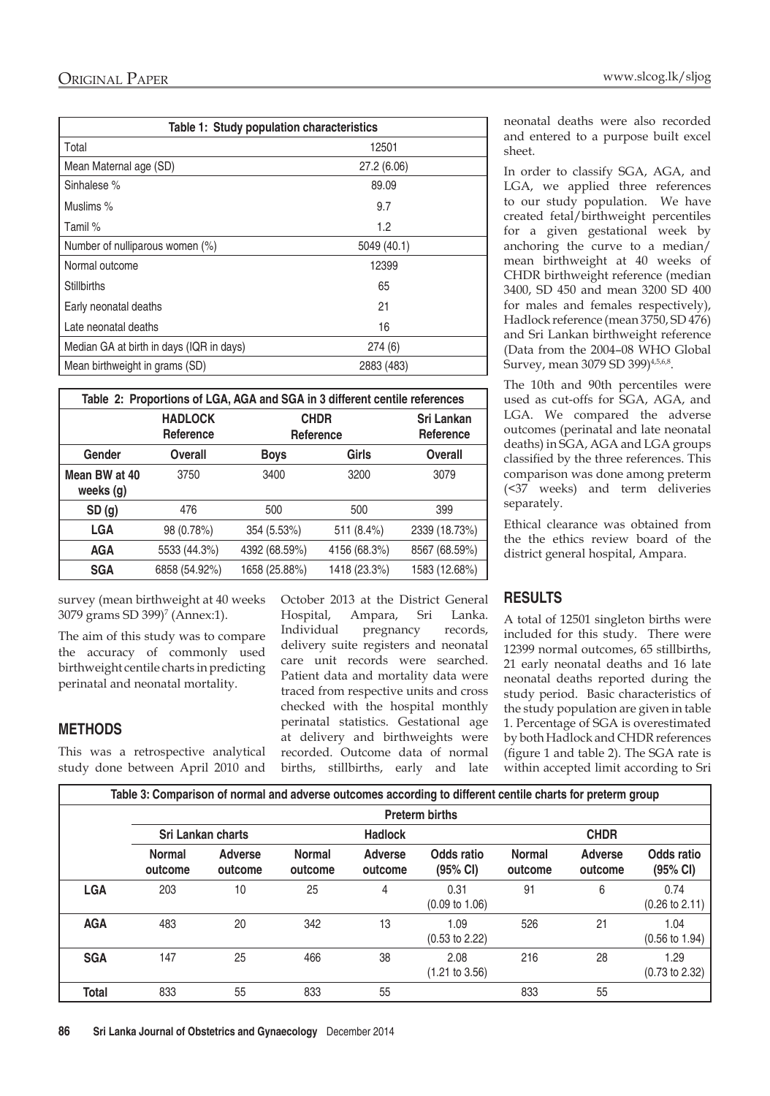| Table 1: Study population characteristics |             |  |  |  |  |
|-------------------------------------------|-------------|--|--|--|--|
| Total                                     | 12501       |  |  |  |  |
| Mean Maternal age (SD)                    | 27.2 (6.06) |  |  |  |  |
| Sinhalese %                               | 89.09       |  |  |  |  |
| Muslims %                                 | 9.7         |  |  |  |  |
| Tamil %                                   | 1.2         |  |  |  |  |
| Number of nulliparous women (%)           | 5049 (40.1) |  |  |  |  |
| Normal outcome                            | 12399       |  |  |  |  |
| <b>Stillbirths</b>                        | 65          |  |  |  |  |
| Early neonatal deaths                     | 21          |  |  |  |  |
| Late neonatal deaths                      | 16          |  |  |  |  |
| Median GA at birth in days (IQR in days)  | 274(6)      |  |  |  |  |
| Mean birthweight in grams (SD)            | 2883 (483)  |  |  |  |  |

| Table 2: Proportions of LGA, AGA and SGA in 3 different centile references |                                    |                          |                         |               |  |  |  |
|----------------------------------------------------------------------------|------------------------------------|--------------------------|-------------------------|---------------|--|--|--|
|                                                                            | <b>HADLOCK</b><br><b>Reference</b> | <b>CHDR</b><br>Reference | Sri Lankan<br>Reference |               |  |  |  |
| Gender                                                                     | Overall                            | <b>Boys</b>              | Girls                   | Overall       |  |  |  |
| Mean BW at 40<br>weeks (g)                                                 | 3750                               | 3400                     | 3200                    | 3079          |  |  |  |
| SD(g)<br>476                                                               |                                    | 500                      | 500                     | 399           |  |  |  |
| <b>LGA</b>                                                                 | 98 (0.78%)                         | 354 (5.53%)              | 511 (8.4%)              | 2339 (18.73%) |  |  |  |
| <b>AGA</b>                                                                 | 5533 (44.3%)                       | 4392 (68.59%)            | 4156 (68.3%)            | 8567 (68.59%) |  |  |  |
| <b>SGA</b>                                                                 | 6858 (54.92%)                      | 1658 (25.88%)            | 1418 (23.3%)            | 1583 (12.68%) |  |  |  |

survey (mean birthweight at 40 weeks 3079 grams SD 399)<sup>7</sup> (Annex:1).

The aim of this study was to compare the accuracy of commonly used birthweight centile charts in predicting perinatal and neonatal mortality.

## **Methods**

This was a retrospective analytical study done between April 2010 and

October 2013 at the District General Hospital, Ampara, Sri Lanka. Individual pregnancy records, delivery suite registers and neonatal care unit records were searched. Patient data and mortality data were traced from respective units and cross checked with the hospital monthly perinatal statistics. Gestational age at delivery and birthweights were recorded. Outcome data of normal births, stillbirths, early and late

neonatal deaths were also recorded and entered to a purpose built excel sheet.

In order to classify SGA, AGA, and LGA, we applied three references to our study population. We have created fetal/birthweight percentiles for a given gestational week by anchoring the curve to a median/ mean birthweight at 40 weeks of CHDR birthweight reference (median 3400, SD 450 and mean 3200 SD 400 for males and females respectively), Hadlock reference (mean 3750, SD 476) and Sri Lankan birthweight reference (Data from the 2004–08 WHO Global Survey, mean 3079 SD 399)<sup>4,5,6,8</sup>.

The 10th and 90th percentiles were used as cut-offs for SGA, AGA, and LGA. We compared the adverse outcomes (perinatal and late neonatal deaths) in SGA, AGA and LGA groups classified by the three references. This comparison was done among preterm (<37 weeks) and term deliveries separately.

Ethical clearance was obtained from the the ethics review board of the district general hospital, Ampara.

## **Results**

A total of 12501 singleton births were included for this study. There were 12399 normal outcomes, 65 stillbirths, 21 early neonatal deaths and 16 late neonatal deaths reported during the study period. Basic characteristics of the study population are given in table 1. Percentage of SGA is overestimated by both Hadlock and CHDR references (figure 1 and table 2). The SGA rate is within accepted limit according to Sri

| Table 3: Comparison of normal and adverse outcomes according to different centile charts for preterm group |                                            |                           |                          |                           |                                   |                          |                           |                                   |
|------------------------------------------------------------------------------------------------------------|--------------------------------------------|---------------------------|--------------------------|---------------------------|-----------------------------------|--------------------------|---------------------------|-----------------------------------|
|                                                                                                            | <b>Preterm births</b>                      |                           |                          |                           |                                   |                          |                           |                                   |
|                                                                                                            | <b>Sri Lankan charts</b><br><b>Hadlock</b> |                           |                          | <b>CHDR</b>               |                                   |                          |                           |                                   |
|                                                                                                            | <b>Normal</b><br>outcome                   | <b>Adverse</b><br>outcome | <b>Normal</b><br>outcome | <b>Adverse</b><br>outcome | Odds ratio<br>(95% Cl)            | <b>Normal</b><br>outcome | <b>Adverse</b><br>outcome | Odds ratio<br>(95% CI)            |
| <b>LGA</b>                                                                                                 | 203                                        | 10                        | 25                       | 4                         | 0.31<br>$(0.09 \text{ to } 1.06)$ | 91                       | 6                         | 0.74<br>$(0.26 \text{ to } 2.11)$ |
| <b>AGA</b>                                                                                                 | 483                                        | 20                        | 342                      | 13                        | 1.09<br>$(0.53 \text{ to } 2.22)$ | 526                      | 21                        | 1.04<br>$(0.56 \text{ to } 1.94)$ |
| <b>SGA</b>                                                                                                 | 147                                        | 25                        | 466                      | 38                        | 2.08<br>$(1.21 \text{ to } 3.56)$ | 216                      | 28                        | 1.29<br>$(0.73 \text{ to } 2.32)$ |
| <b>Total</b>                                                                                               | 833                                        | 55                        | 833                      | 55                        |                                   | 833                      | 55                        |                                   |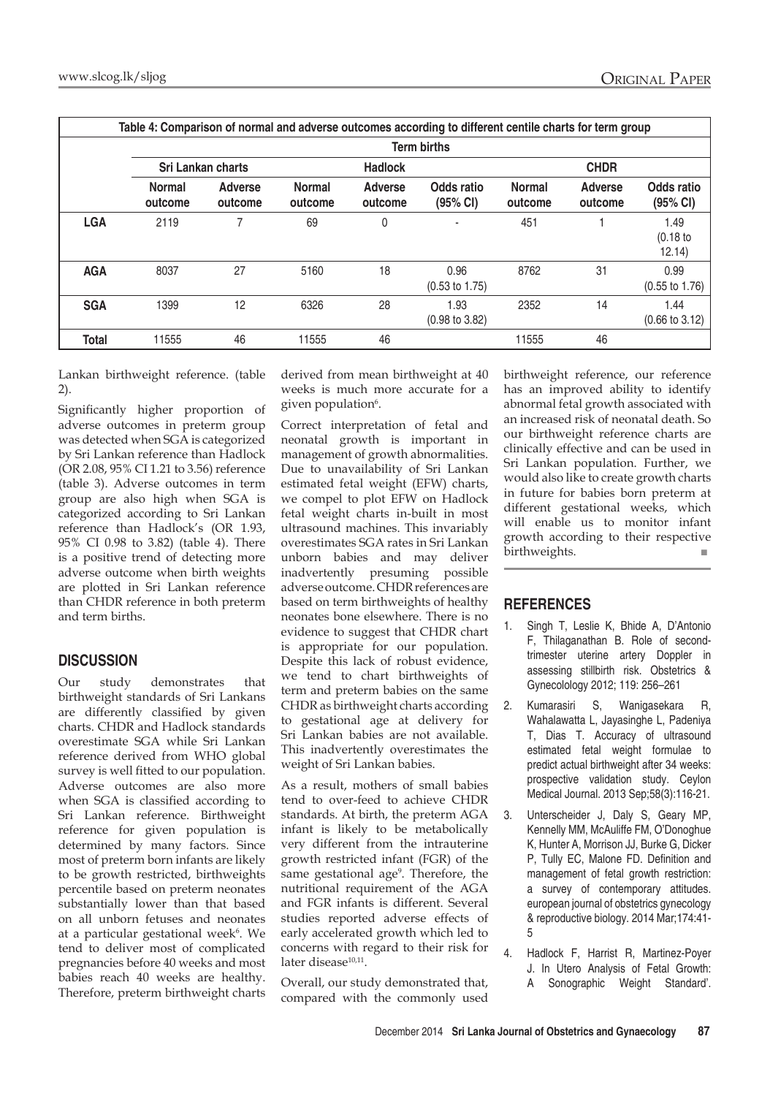|              | Table 4: Comparison of normal and adverse outcomes according to different centile charts for term group |                           |                          |                           |                                   |                          |                           |                                   |  |
|--------------|---------------------------------------------------------------------------------------------------------|---------------------------|--------------------------|---------------------------|-----------------------------------|--------------------------|---------------------------|-----------------------------------|--|
|              | <b>Term births</b>                                                                                      |                           |                          |                           |                                   |                          |                           |                                   |  |
|              | <b>Sri Lankan charts</b><br><b>Hadlock</b>                                                              |                           |                          | <b>CHDR</b>               |                                   |                          |                           |                                   |  |
|              | <b>Normal</b><br>outcome                                                                                | <b>Adverse</b><br>outcome | <b>Normal</b><br>outcome | <b>Adverse</b><br>outcome | Odds ratio<br>(95% CI)            | <b>Normal</b><br>outcome | <b>Adverse</b><br>outcome | Odds ratio<br>(95% CI)            |  |
| <b>LGA</b>   | 2119                                                                                                    | 7                         | 69                       | 0                         | ٠                                 | 451                      |                           | 1.49<br>(0.18)<br>12.14)          |  |
| <b>AGA</b>   | 8037                                                                                                    | 27                        | 5160                     | 18                        | 0.96<br>$(0.53 \text{ to } 1.75)$ | 8762                     | 31                        | 0.99<br>$(0.55 \text{ to } 1.76)$ |  |
| <b>SGA</b>   | 1399                                                                                                    | 12                        | 6326                     | 28                        | 1.93<br>$(0.98 \text{ to } 3.82)$ | 2352                     | 14                        | 1.44<br>$(0.66 \text{ to } 3.12)$ |  |
| <b>Total</b> | 11555                                                                                                   | 46                        | 11555                    | 46                        |                                   | 11555                    | 46                        |                                   |  |

Lankan birthweight reference. (table 2).

Significantly higher proportion of adverse outcomes in preterm group was detected when SGA is categorized by Sri Lankan reference than Hadlock (OR 2.08, 95% CI 1.21 to 3.56) reference (table 3). Adverse outcomes in term group are also high when SGA is categorized according to Sri Lankan reference than Hadlock's (OR 1.93, 95% CI 0.98 to 3.82) (table 4). There is a positive trend of detecting more adverse outcome when birth weights are plotted in Sri Lankan reference than CHDR reference in both preterm and term births.

## **Discussion**

Our study demonstrates that birthweight standards of Sri Lankans are differently classified by given charts. CHDR and Hadlock standards overestimate SGA while Sri Lankan reference derived from WHO global survey is well fitted to our population. Adverse outcomes are also more when SGA is classified according to Sri Lankan reference. Birthweight reference for given population is determined by many factors. Since most of preterm born infants are likely to be growth restricted, birthweights percentile based on preterm neonates substantially lower than that based on all unborn fetuses and neonates at a particular gestational week<sup>6</sup>. We tend to deliver most of complicated pregnancies before 40 weeks and most babies reach 40 weeks are healthy. Therefore, preterm birthweight charts

derived from mean birthweight at 40 weeks is much more accurate for a given population<sup>6</sup>.

Correct interpretation of fetal and neonatal growth is important in management of growth abnormalities. Due to unavailability of Sri Lankan estimated fetal weight (EFW) charts, we compel to plot EFW on Hadlock fetal weight charts in-built in most ultrasound machines. This invariably overestimates SGA rates in Sri Lankan unborn babies and may deliver inadvertently presuming possible adverse outcome. CHDR references are based on term birthweights of healthy neonates bone elsewhere. There is no evidence to suggest that CHDR chart is appropriate for our population. Despite this lack of robust evidence, we tend to chart birthweights of term and preterm babies on the same CHDR as birthweight charts according to gestational age at delivery for Sri Lankan babies are not available. This inadvertently overestimates the weight of Sri Lankan babies.

As a result, mothers of small babies tend to over-feed to achieve CHDR standards. At birth, the preterm AGA infant is likely to be metabolically very different from the intrauterine growth restricted infant (FGR) of the same gestational age<sup>9</sup>. Therefore, the nutritional requirement of the AGA and FGR infants is different. Several studies reported adverse effects of early accelerated growth which led to concerns with regard to their risk for later disease<sup>10,11</sup>.

Overall, our study demonstrated that, compared with the commonly used birthweight reference, our reference has an improved ability to identify abnormal fetal growth associated with an increased risk of neonatal death. So our birthweight reference charts are clinically effective and can be used in Sri Lankan population. Further, we would also like to create growth charts in future for babies born preterm at different gestational weeks, which will enable us to monitor infant growth according to their respective birthweights. ■

#### **References**

- 1. Singh T, Leslie K, Bhide A, D'Antonio F, Thilaganathan B. Role of secondtrimester uterine artery Doppler in assessing stillbirth risk. Obstetrics & Gynecolology 2012; 119: 256–261
- 2. Kumarasiri S, Wanigasekara R, Wahalawatta L, Jayasinghe L, Padeniya T, Dias T. Accuracy of ultrasound estimated fetal weight formulae to predict actual birthweight after 34 weeks: prospective validation study. Ceylon Medical Journal. 2013 Sep;58(3):116-21.
- 3. Unterscheider J, Daly S, Geary MP, Kennelly MM, McAuliffe FM, O'Donoghue K, Hunter A, Morrison JJ, Burke G, Dicker P, Tully EC, Malone FD. Definition and management of fetal growth restriction: a survey of contemporary attitudes. european journal of obstetrics gynecology & reproductive biology. 2014 Mar;174:41- 5
- 4. Hadlock F, Harrist R, Martinez-Poyer J. In Utero Analysis of Fetal Growth: A Sonographic Weight Standard'.